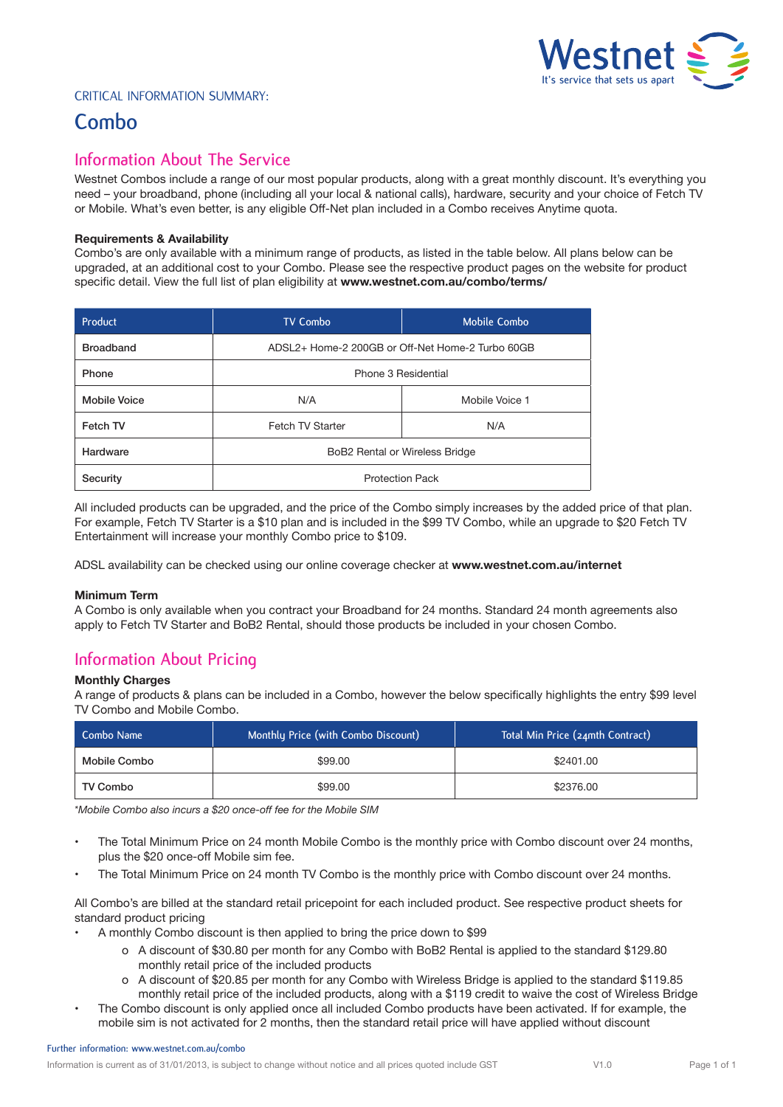

### Critical Information Summary:

# **Combo**

## **Information About The Service**

Westnet Combos include a range of our most popular products, along with a great monthly discount. It's everything you need – your broadband, phone (including all your local & national calls), hardware, security and your choice of Fetch TV or Mobile. What's even better, is any eligible Off-Net plan included in a Combo receives Anytime quota.

#### **Requirements & Availability**

Combo's are only available with a minimum range of products, as listed in the table below. All plans below can be upgraded, at an additional cost to your Combo. Please see the respective product pages on the website for product specific detail. View the full list of plan eligibility at **www.westnet.com.au/combo/terms/**

| Product             | <b>TV Combo</b>                                  | <b>Mobile Combo</b> |
|---------------------|--------------------------------------------------|---------------------|
| <b>Broadband</b>    | ADSL2+ Home-2 200GB or Off-Net Home-2 Turbo 60GB |                     |
| Phone               | Phone 3 Residential                              |                     |
| <b>Mobile Voice</b> | N/A                                              | Mobile Voice 1      |
| Fetch TV            | Fetch TV Starter                                 | N/A                 |
| Hardware            | BoB2 Rental or Wireless Bridge                   |                     |
| Security            | <b>Protection Pack</b>                           |                     |

All included products can be upgraded, and the price of the Combo simply increases by the added price of that plan. For example, Fetch TV Starter is a \$10 plan and is included in the \$99 TV Combo, while an upgrade to \$20 Fetch TV Entertainment will increase your monthly Combo price to \$109.

ADSL availability can be checked using our online coverage checker at **www.westnet.com.au/internet**

#### **Minimum Term**

A Combo is only available when you contract your Broadband for 24 months. Standard 24 month agreements also apply to Fetch TV Starter and BoB2 Rental, should those products be included in your chosen Combo.

# **Information About Pricing**

#### **Monthly Charges**

A range of products & plans can be included in a Combo, however the below specifically highlights the entry \$99 level TV Combo and Mobile Combo.

| Combo Name   | Monthly Price (with Combo Discount) | Total Min Price (24mth Contract) |
|--------------|-------------------------------------|----------------------------------|
| Mobile Combo | \$99.00                             | \$2401.00                        |
| TV Combo     | \$99.00                             | \$2376.00                        |

*\*Mobile Combo also incurs a \$20 once-off fee for the Mobile SIM*

- The Total Minimum Price on 24 month Mobile Combo is the monthly price with Combo discount over 24 months, plus the \$20 once-off Mobile sim fee.
- The Total Minimum Price on 24 month TV Combo is the monthly price with Combo discount over 24 months.

All Combo's are billed at the standard retail pricepoint for each included product. See respective product sheets for standard product pricing

- A monthly Combo discount is then applied to bring the price down to \$99
	- o A discount of \$30.80 per month for any Combo with BoB2 Rental is applied to the standard \$129.80 monthly retail price of the included products
	- o A discount of \$20.85 per month for any Combo with Wireless Bridge is applied to the standard \$119.85 monthly retail price of the included products, along with a \$119 credit to waive the cost of Wireless Bridge
- The Combo discount is only applied once all included Combo products have been activated. If for example, the mobile sim is not activated for 2 months, then the standard retail price will have applied without discount